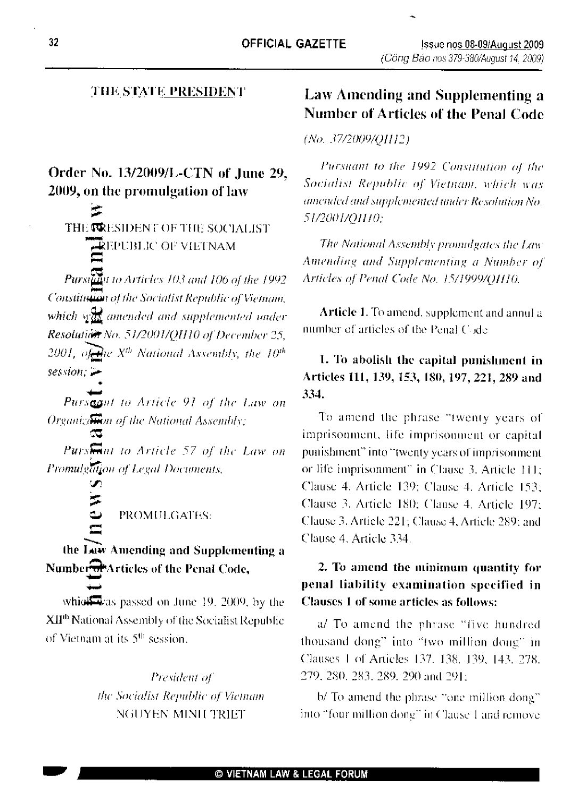#### THE STATE PRESIDENT

# Order No. 13/2009/L-CTN of June 29, 2009, on the promulgation of law

**THE COENT OF THE SOCIALIST EEPUBLIC OF VIETNAM** 

Pursign to Articles 103 and 106 of the 1992 Constitution of the Socialist Republic of Vietnam, which  $\sqrt{\frac{M}{M}}$  amended and supplemented under Resolution No. 51/2001/OH10 of December 25, 2001, of the  $X^{th}$  National Assembly, the  $10^{th}$ session:  $\rightarrow$ 

Purseant to Article 91 of the Law on Organization of the National Assembly;

Pursent to Article 57 of the Law on Promulgation of Legal Documents,

 $\overline{z}$ PROMULGATES: the Law Amending and Supplementing a Number or Articles of the Penal Code,

which  $\mathbf{\overline{4}}$  as passed on June 19, 2009, by the XII<sup>th</sup> National Assembly of the Socialist Republic of Vietnam at its 5<sup>th</sup> session.

> President of the Socialist Republic of Vietnam **NGUYEN MINILTRIET**

# Law Amending and Supplementing a Number of Articles of the Penal Code

(No. 37/2009/QH12)

Pursuant to the 1992 Constitution of the Socialist Republic of Vietnam, which was amended and supplemented under Resolution No. 51/2001/Q1110;

The National Assembly promulgates the Law Amending and Supplementing a Number of Articles of Penal Code No. 15/1999/01110.

**Article 1.** To amend, supplement and annul a number of articles of the Penal Code

# 1. To abolish the capital punishment in Articles 111, 139, 153, 180, 197, 221, 289 and 334.

To amend the phrase "twenty years of imprisonment, life imprisonment or capital punishment" into "twenty years of imprisonment or life imprisonment" in Clause 3. Article 111; Clause 4. Article 139; Clause 4. Article 153; Clause 3, Article 180; Clause 4, Article 197: Clause 3. Article 221: Clause 4, Article 289: and Clause 4. Article 334.

# 2. To amend the minimum quantity for penal liability examination specified in Clauses 1 of some articles as follows:

a/ To amend the phrase "five hundred thousand dong" into "two million dong" in Clauses 1 of Articles 137, 138, 139, 143, 278, 279, 280, 283, 289, 290 and 291.

b/ To amend the phrase "one million dong" into "four million dong" in Clause 1 and remove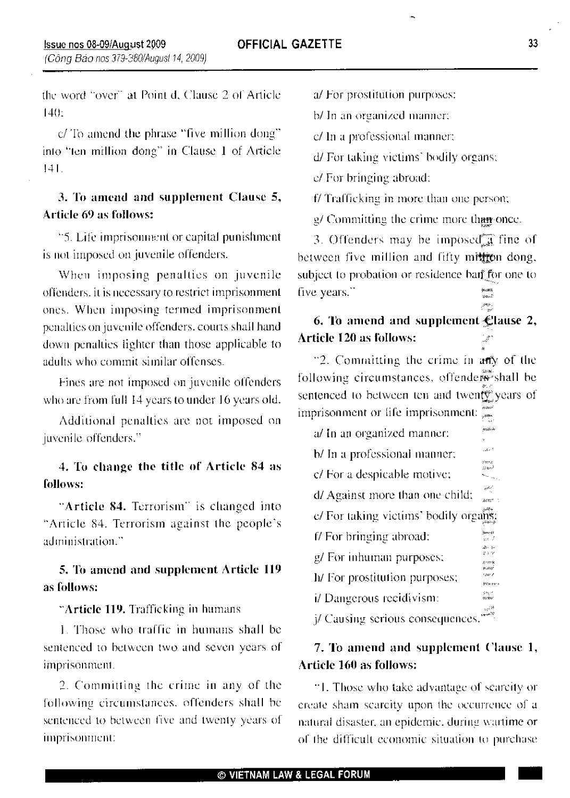the word "over" at Point d, Clause 2 of Article  $(40)$ 

c/To amend the phrase "five million dong" into "ten million dong" in Clause 1 of Article  $141 -$ 

# 3. To amend and supplement Clause 5, Article 69 as follows:

"5. Life imprisonment or capital punishment is not imposed on juvenile offenders.

When imposing penalties on juvenile offenders, it is necessary to restrict imprisonment ones. When imposing termed imprisonment penalties on juvenile offenders, courts shall hand down penalties lighter than those applicable to adults who commit similar offenses.

Fines are not imposed on juvenile offenders who are from full 14 years to under 16 years old.

Additional penalties are not imposed on juvenile offenders."

### 4. To change the title of Article 84 as follows:

"Article 84. Terrorism" is changed into "Article 84. Terrorism against the people's administration."

### 5. To amend and supplement Article 119 as follows:

"Article 119. Trafficking in humans

1. Those who traffic in humans shall be sentenced to between two and seven years of imprisonment.

2. Committing the crime in any of the following circumstances, offenders shall be sentenced to between five and twenty years of imprisonment:

a/ For prostitution purposes:

b/ In an organized manner;

c/ In a professional manner;

d/ For taking victims' bodily organs;

e/ For bringing abroad:

f/ Trafficking in more than one person;

g/ Committing the crime more than once.

3. Offenders may be imposed  $\tilde{A}$  fine of between five million and fifty mittion dong, subject to probation or residence ban for one to five years."

# 6. To amend and supplement Clause 2, **Article 120 as follows:**

"2. Committing the crime in any of the following circumstances, offender wishall be sentenced to between ten and twenty years of imprisonment or life imprisonment:

yaar

وأروا

.<br>Personalis

ek 3 izi<br>Vite

recerio<br>sessió<br>caso t

.<br>Vez ro

ers<br>minis

- a/ In an organized manner:
- b/ In a professional manner:
- otena.<br>Situal c/ For a despicable motive; in a
- ipin. d/ Against more than one child; i<br>wanana a
- e/ For taking victims' bodily organs:
- f/ For bringing abroad:
- 
- g/ For inhuman purposes:
- h/ For prostitution purposes;
- i/ Dangerous recidivism:
- j/ Causing serious consequences.

# 7. To amend and supplement Clause 1, Article 160 as follows:

"1. Those who take advantage of scarcity or create sham scarcity upon the occurrence of a natural disaster, an epidemic, during wartime or of the difficult economic situation to purchase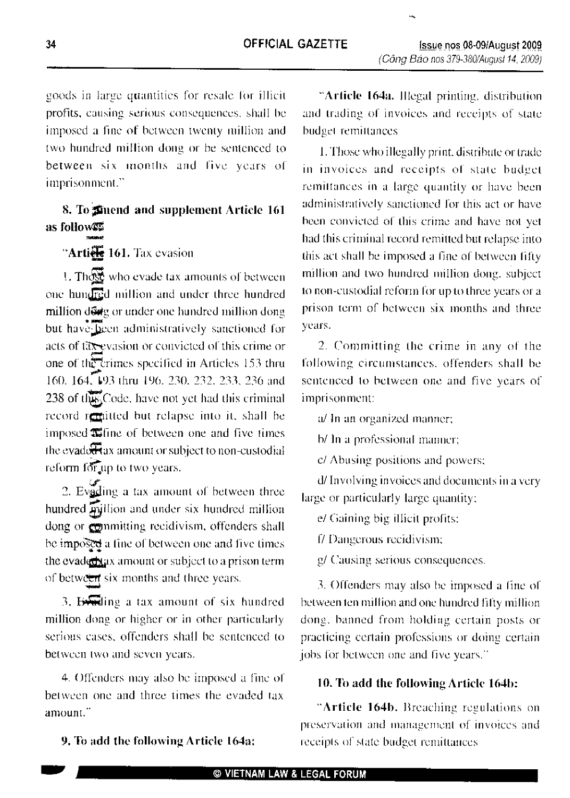goods in large quantities for resale for illicit profits, causing serious consequences, shall be imposed a fine of between twenty million and two hundred million dong or be sentenced to between six months and five years of imprisonment."

### 8. To mend and supplement Article 161 as follow#

# "Artiele 161. Tax evasion

1. The who evade tax amounts of between one hundred million and under three hundred million dong or under one hundred million dong but have been administratively sanctioned for acts of fax-evasion or convicted of this crime or one of the crimes specified in Articles 153 thru 160, 164, 193 thru 196, 230, 232, 233, 236 and 238 of the Code, have not yet had this criminal record remitted but relapse into it, shall be imposed **T**ine of between one and five times the evaderax amount or subject to non-custodial reform for up to two years.

2. Evading a tax amount of between three hundred million and under six hundred million dong or committing recidivism, offenders shall be imposed a fine of between one and five times the evader wax amount or subject to a prison term of between six months and three years.

3. External a tax amount of six hundred million dong or higher or in other particularly serious cases, offenders shall be sentenced to between two and seven years.

4. Offenders may also be imposed a fine of between one and three times the evaded tax amount."

9. To add the following Article 164a:

"Article 164a. Illegal printing, distribution and trading of invoices and receipts of state budget remittances

1. Those who illegally print, distribute or trade in invoices and receipts of state budget remittances in a large quantity or have been administratively sanctioned for this act or have been convicted of this crime and have not yet had this criminal record remitted but relapse into this act shall be imposed a fine of between fifty million and two hundred million dong, subject to non-custodial reform for up to three years or a prison term of between six months and three vears.

2. Committing the crime in any of the following circumstances, offenders shall be sentenced to between one and five years of imprisonment:

a/ In an organized manner;

b/ In a professional manner;

c/ Abusing positions and powers;

d/Involving invoices and documents in a very large or particularly large quantity;

e/ Gaining big illicit profits:

f/ Dangerous recidivism;

g/ Causing serious consequences.

3. Offenders may also be imposed a fine of between ten million and one hundred fifty million dong, banned from holding certain posts or practicing certain professions or doing certain jobs for between one and five years."

#### 10. To add the following Article 164b:

"Article 164b. Breaching regulations on preservation and management of invoices and receipts of state budget remittances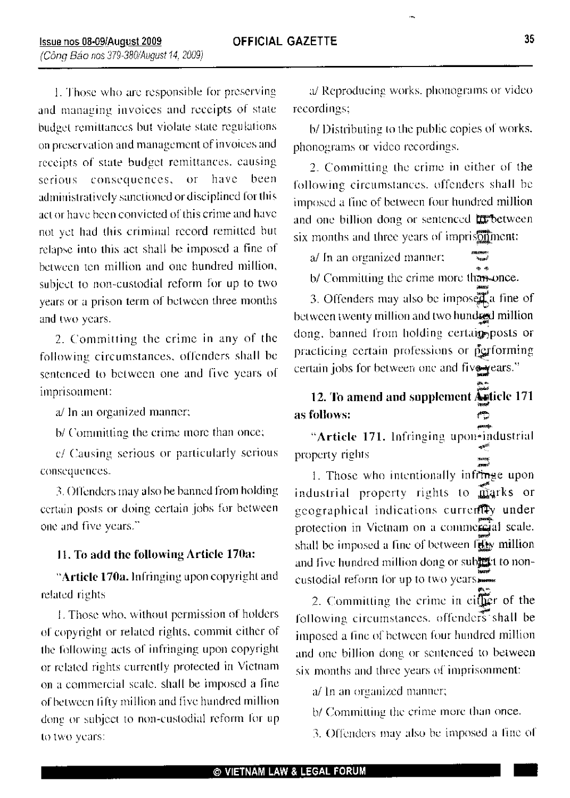1. Those who are responsible for preserving and managing invoices and receipts of state budget remittances but violate state regulations on preservation and management of invoices and receipts of state budget remittances, causing been serious consequences, or have administratively sanctioned or disciplined for this act or have been convicted of this crime and have not yet had this criminal record remitted but relapse into this act shall be imposed a fine of between ten million and one hundred million, subject to non-custodial reform for up to two years or a prison term of between three months and two years.

2. Committing the crime in any of the following circumstances, offenders shall be sentenced to between one and five years of imprisonment:

a/ In an organized manner;

b/ Committing the crime more than once;

c/ Causing serious or particularly serious consequences.

3. Offenders may also be banned from holding certain posts or doing certain jobs for between one and five years."

#### 11. To add the following Article 170a:

"Article 170a. Infringing upon copyright and related rights

1. Those who, without permission of holders of copyright or related rights, commit either of the following acts of infringing upon copyright or related rights currently protected in Victnam on a commercial scale, shall be imposed a fine of between fifty million and five hundred million dong or subject to non-custodial reform for up to two years:

a/ Reproducing works, phonograms or video recordings:

b/ Distributing to the public copies of works. phonograms or video recordings.

2. Committing the crime in either of the following circumstances, offenders shall be imposed a fine of between four hundred million and one billion dong or sentenced **tra**between six months and three years of imprisonment:

a/ In an organized manner;

b/ Committing the crime more than once.

3. Offenders may also be impose a fine of between twenty million and two hundred million dong, banned from holding certain posts or practicing certain professions or performing certain jobs for between one and five years."

12. To amend and supplement Anticle 171 as follows:

"Article 171. Infringing upon\*industrial property rights

1. Those who intentionally infringe upon industrial property rights to marks or geographical indications currently under protection in Vietnam on a commercial scale. shall be imposed a fine of between folly million and five hundred million dong or sublet to non-

2. Committing the crime in cither of the following circumstances, offenders shall be imposed a fine of between four hundred million and one billion dong or sentenced to between six months and three years of imprisonment:

a/ In an organized manner;

b/ Committing the crime more than once.

3. Offenders may also be imposed a fine of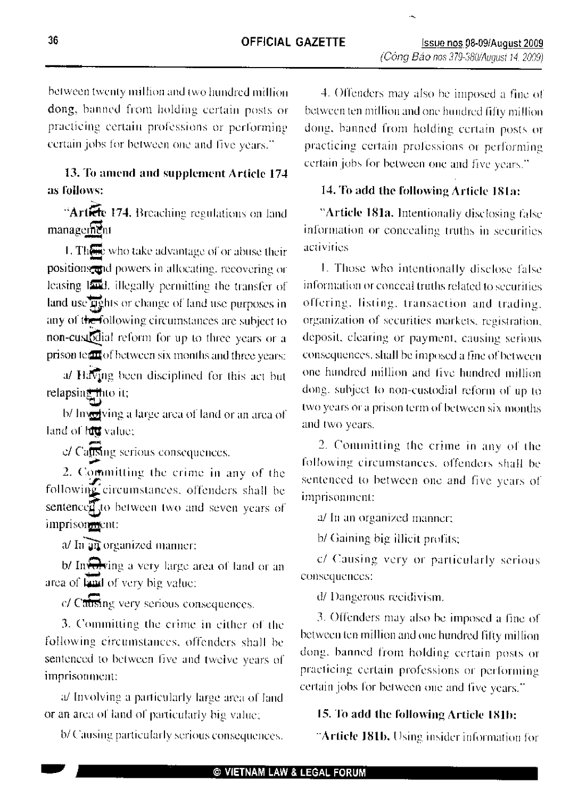between twenty million and two hundred million dong, banned from holding certain posts or practicing certain professions or performing certain jobs for between one and five years."

# 13. To amend and supplement Article 174 as follows:

"Article 174. Breaching regulations on land management

1. There who take advantage of or abuse their positions; and powers in allocating, recovering or leasing 1554, illegally permitting the transfer of land use gights or change of land use purposes in any of the following circumstances are subject to non-custodial reform for up to three years or a prison team of between six months and three years:

a/ Having been disciplined for this act but relapsing thuo it;

b/ Investying a large area of land or an area of land of law value:

c/ Cansing serious consequences.

2. Committing the crime in any of the following circumstances, offenders shall be sentence to between two and seven years of imprisonment:

a/ In an organized manner:

b/ In **O** ving a very large area of land or an area of land of very big value:

c/ Cabsing very serious consequences.

3. Committing the crime in either of the following circumstances, offenders shall be sentenced to between five and twelve years of imprisonment:

a/ Involving a particularly large area of Jand or an area of land of particularly big value;

b/ Causing particularly serious consequences.

4. Offenders may also be imposed a fine of between ten million and one hundred fifty million dong, banned from holding certain posts or practicing certain professions or performing certain jobs for between one and five years."

### 14. To add the following Article 181a:

"Article 181a, Intentionally disclosing false information or concealing truths in securities activities

1. Those who intentionally disclose false information or conceal truths related to securities offering, listing, transaction and trading. organization of securities markets, registration, deposit, clearing or payment, causing serious consequences, shall be imposed a fine of between one hundred million and five hundred million dong, subject to non-custodial reform of up to two years or a prison term of between six months and two years.

2. Committing the crime in any of the following circumstances, offenders shall be sentenced to between one and five years of imprisonment:

a/ In an organized manner;

b/ Gaining big illicit profits;

c/ Causing very or particularly serious consequences:

d/ Dangerous recidivism.

3. Offenders may also be imposed a fine of between ten million and one hundred fifty million dong, banned from holding certain posts or practicing certain professions or performing certain jobs for between one and five years."

### 15. To add the following Article 181b:

"Article 181b, Using insider information for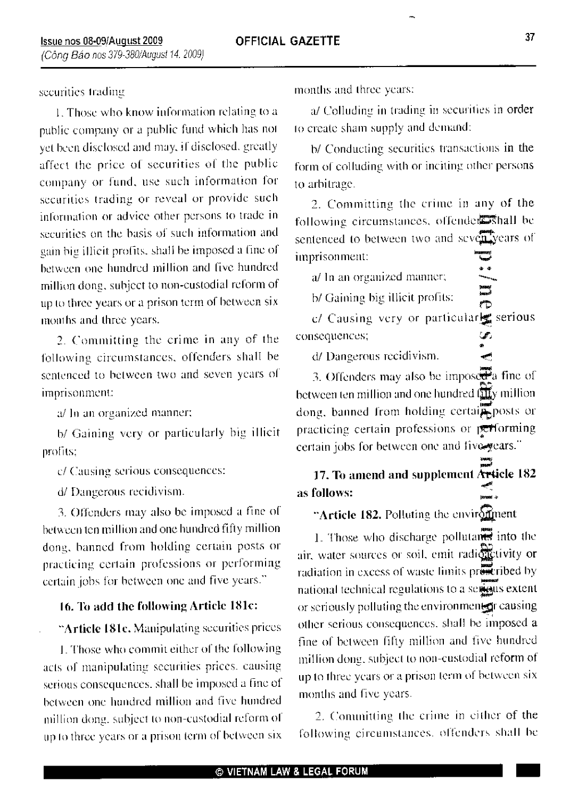securities trading

1. Those who know information relating to a public company or a public fund which has not yet been disclosed and may, if disclosed, greatly affect the price of securities of the public company or fund, use such information for securities trading or reveal or provide such information or advice other persons to trade in securities on the basis of such information and gain big illicit profits, shall be imposed a fine of between one hundred million and five hundred million dong, subject to non-custodial reform of up to three years or a prison term of between six months and three years.

2. Committing the crime in any of the following circumstances, offenders shall be sentenced to between two and seven years of imorisonment:

a/ In an organized manner;

b/ Gaining very or particularly big illicit profits:

c/ Causing serious consequences:

d/ Dangerous recidivism.

3. Offenders may also be imposed a fine of between ten million and one hundred fifty million dong, banned from holding certain posts or practicing certain professions or performing certain jobs for between one and five years."

#### 16. To add the following Article 181c:

"Article 181c. Manipulating securities prices

1. Those who commit either of the following acts of manipulating securities prices, causing serious consequences, shall be imposed a fine of between one hundred million and five hundred million dong, subject to non-custodial reform of up to three years or a prison term of between six months and three years:

a/ Colluding in trading in securities in order to create sham supply and demand:

b/ Conducting securities transactions in the form of colluding with or inciting other persons to arbitrage.

2. Committing the crime in any of the following circumstances, offended shall be sentenced to between two and seven years of imprisonment:

a/ In an organized manner;

b/ Gaining big illicit profits:

 $c/$  Causing very or particularize serious consequences;  $\mathcal{F}_i$ 

d/ Dangerous recidivism.

3. Offenders may also be imposed a fine of between ten million and one hundred ally million dong, banned from holding certainposts or practicing certain professions or performing certain jobs for between one and five years."

17. To amend and supplement Article 182 as follows:

"Article 182. Polluting the environment

1. Those who discharge pollutants into the air, water sources or soil, emit radicactivity or radiation in excess of waste limits preseribed by national technical regulations to a serious extent or seriously polluting the environment or causing other serious consequences, shall be imposed a fine of between fifty million and five hundred million dong, subject to non-custodial reform of up to three years or a prison term of between six months and five years.

2. Committing the crime in either of the following circumstances, offenders shall be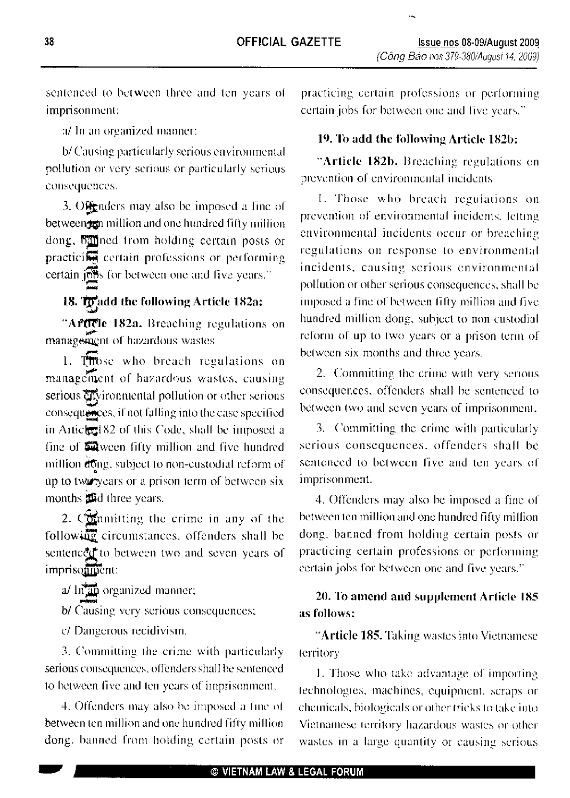**OFFICIAL GAZETTE** 

sentenced to between three and ten years of imprisonment:

a/ In an organized manner:

b/ Causing particularly serious environmental pollution or very serious or particularly serious consequences.

3. Offenders may also be imposed a fine of betweengen million and one hundred fifty million dong, banned from holding certain posts or practicing certain professions or performing certain jobs for between one and five years."

### 18. To add the following Article 182a:

"Article 182a. Breaching regulations on management of hazardous wastes

1. Those who breach regulations on management of hazardous wastes, causing serious of vironmental pollution or other serious consequences, if not falling into the case specified in Articles 182 of this Code, shall be imposed a fine of **sil** ween fifty million and five hundred million dong, subject to non-custodial reform of up to two years or a prison term of between six months and three years.

2. Committing the crime in any of the following circumstances, offenders shall be sentenced to between two and seven years of imprisompent:

a/ In an organized manner;

b/ Causing very serious consequences;

c/ Dangerous recidivism.

3. Committing the crime with particularly serious consequences, offenders shall be sentenced to between five and ten years of imprisonment.

4. Offenders may also be imposed a fine of between ten million and one hundred fifty million dong, banned from holding certain posts or practicing certain professions or performing certain jobs for between one and five years."

#### 19. To add the following Article 182b:

"Article 182b. Breaching regulations on prevention of environmental incidents.

1. Those who breach regulations on prevention of environmental incidents, letting environmental incidents occur or breaching regulations on response to environmental incidents, causing serious environmental pollution or other serious consequences, shall be imposed a fine of between fifty million and five hundred million dong, subject to non-custodial reform of up to two years or a prison term of between six months and three years.

2. Committing the crime with very serious consequences, offenders shall be sentenced to between two and seven years of imprisonment.

3. Committing the crime with particularly serious consequences, offenders shall be sentenced to between five and ten years of imprisonment.

4. Offenders may also be imposed a fine of between ten million and one hundred fifty million dong, banned from holding certain posts or practicing certain professions or performing certain jobs for between one and five years."

### 20. To amend and supplement Article 185 as follows:

"Article 185. Taking wastes into Vietnamese territory

1. Those who take advantage of importing technologies, machines, equipment, scraps or chemicals, biologicals or other tricks to take into Vietnamese territory hazardous wastes or other wastes in a large quantity or causing serious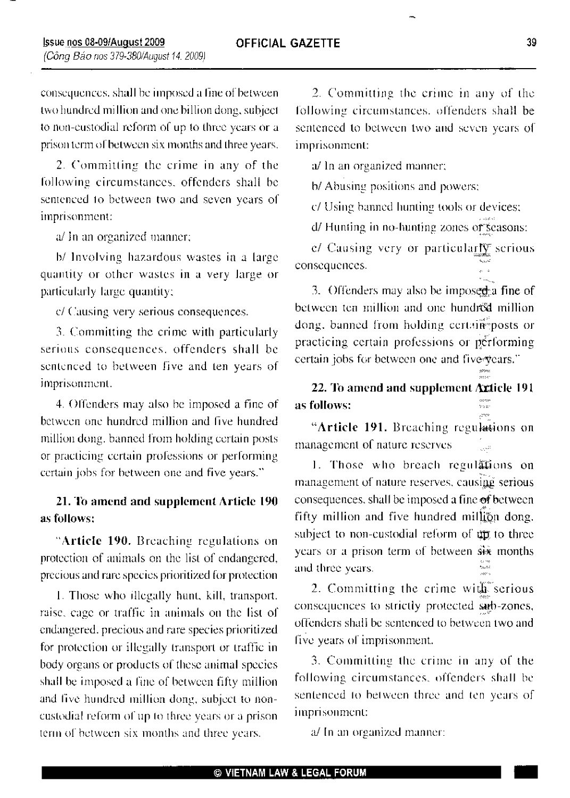consequences, shall be imposed a fine of between two hundred million and one billion dong, subject to non-custodial reform of up to three years or a prison term of between six months and three years.

2. Committing the crime in any of the following circumstances, offenders shall be sentenced to between two and seven years of imprisonment:

a/ In an organized manner;

b/ Involving hazardous wastes in a large quantity or other wastes in a very large or particularly large quantity;

c/ Causing very serious consequences.

3. Committing the crime with particularly serious consequences, offenders shall be sentenced to between five and ten years of imprisonment.

4. Offenders may also be imposed a fine of between one hundred million and five hundred million dong, banned from holding certain posts or practicing certain professions or performing certain jobs for between one and five years."

### 21. To amend and supplement Article 190 as follows:

"Article 190. Breaching regulations on protection of animals on the list of endangered, precious and rare species prioritized for protection

1. Those who illegally hant, kill, transport. raise, cage or traffic in animals on the list of endangered, precious and rare species prioritized for protection or illegally transport or traffic in body organs or products of these animal species shall be imposed a fine of between fifty million and five hundred million dong, subject to noncustodial reform of up to three years or a prison. term of between six months and three years.

2. Committing the crime in any of the following circumstances, offenders shall be sentenced to between two and seven years of imprisonment:

39

a/ In an organized manner;

b/ Abusing positions and powers;

c/ Using banned hunting tools or devices;

d/ Hunting in no-hunting zones of seasons:

e/ Causing very or particularly serious consequences.

3. Offenders may also be imposed a fine of between ten million and one hundrod million dong, banned from holding certain posts or practicing certain professions or performing certain jobs for between one and five years."

22. To amend and supplement Axticle 191 as follows:

"Article 191. Breaching regulations on management of nature reserves

1. Those who breach regulations on management of nature reserves, causing serious consequences, shall be imposed a fine of between fifty million and five hundred million dong. subject to non-custodial reform of up to three years or a prison term of between six months and three years.

2. Committing the crime with serious consequences to strictly protected samb-zones, offenders shall be sentenced to between two and five years of imprisonment.

3. Committing the crime in any of the following circumstances, offenders shall be sentenced to between three and ten years of imprisonment:

a/ In an organized manner: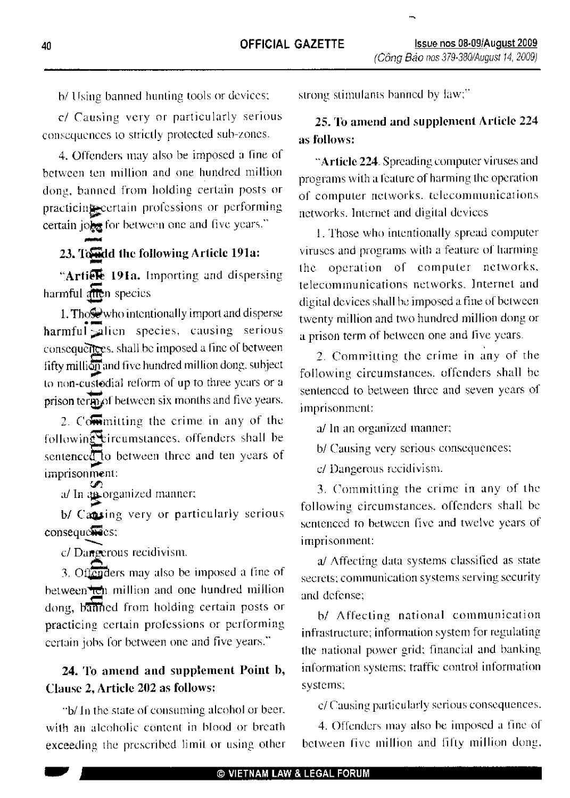b/ Using banned hunting tools or devices;

c/ Causing very or particularly serious consequences to strictly protected sub-zones.

4. Offenders may also be imposed a fine of between ten million and one hundred million dong, banned from holding certain posts or practicing ecertain professions or performing certain jong for between one and five years."

#### 23. To add the following Article 191a:

"Artienthe 191a. Importing and dispersing harmful aften species

1. Those who intentionally import and disperse harmful alien species, causing serious consequences, shall be imposed a fine of between fifty million and five hundred million dong, subject to non-custodial reform of up to three years or a prison termof between six months and five years.

2. Committing the crime in any of the following circumstances, offenders shall be sentenced to between three and ten years of imprisonment:

a/ In aporganized manner;

b/ Cansing very or particularly serious consequences;

c/ Darrecrous recidivism.

3. Offenders may also be imposed a fine of between then million and one hundred million dong, banned from holding certain posts or practicing certain professions or performing certain jobs for between one and five years."

### 24. To amend and supplement Point b, Clause 2, Article 202 as follows:

"b/ In the state of consuming alcohol or beer, with an alcoholic content in blood or breath exceeding the prescribed limit or using other strong stimulants banned by law;"

### 25. To amend and supplement Article 224 as follows:

"Article 224. Spreading computer viruses and programs with a feature of harming the operation of computer networks, telecommunications networks. Internet and digital devices

1. Those who intentionally spread computer viruses and programs with a feature of harming the operation of computer networks, telecommunications networks. Internet and digital devices shall be imposed a fine of between twenty million and two hundred million dong or a prison term of between one and five years.

2. Committing the crime in any of the following circumstances, offenders shall be sentenced to between three and seven years of imprisonment:

a/ In an organized manner;

b/ Causing very serious consequences;

c/ Dangerous recidivism.

3. Committing the crime in any of the following circumstances, offenders shall be sentenced to between five and twelve years of imprisonment:

a/ Affecting data systems classified as state secrets; communication systems serving security and defense;

b/ Affecting national communication infrastructure; information system for regulating the national power grid; financial and banking information systems; traffic control information systems;

c/ Causing particularly serious consequences.

4. Offenders may also be imposed a fine of between five million and fifty million dong,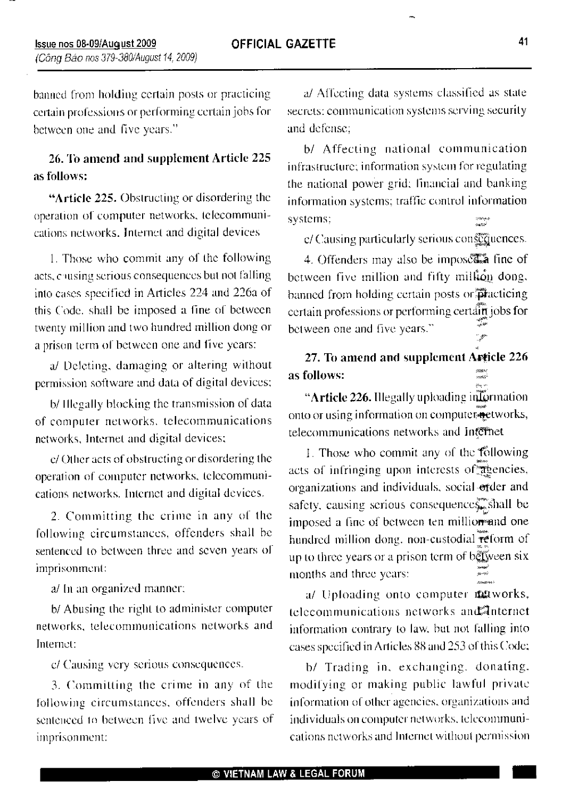banned from holding certain posts or practicing certain professions or performing certain jobs for between one and five years."

### 26. To amend and supplement Article 225 as follows:

"Article 225. Obstructing or disordering the operation of computer networks, telecommunications networks. Internet and digital devices

1. Those who commit any of the following acts, chusing serious consequences but not falling into cases specified in Articles 224 and 226a of this Code, shall be imposed a fine of between twenty million and two hundred million dong or a prison term of between one and five years:

a/ Deleting, damaging or altering without permission software and data of digital devices;

b/ Illegally blocking the transmission of data of computer networks, telecommunications networks, Internet and digital devices;

e/ Other acts of obstructing or disordering the operation of computer networks, telecommunications networks. Internet and digital devices.

2. Committing the crime in any of the following circumstances, offenders shall be sentenced to between three and seven years of imprisonment:

a/ In an organized manner:

b/ Abusing the right to administer computer networks, telecommunications networks and Internet:

c/ Causing very serious consequences.

3. Committing the crime in any of the following circumstances, offenders shall be sentenced to between five and twelve years of imprisonment:

a/ Affecting data systems classified as state secrets: communication systems serving security and defense:

b/ Affecting national communication infrastructure; information system for regulating the national power grid; financial and banking information systems; traffic control information systems:

e/ Causing particularly serious consequences.

4. Offenders may also be imposed a fine of between five million and fifty million dong. banned from holding certain posts or practicing certain professions or performing certain jobs for between one and five years."

# 27. To amend and supplement Article 226 as follows:

"Article 226. Illegally uploading information onto or using information on computer retworks, telecommunications networks and Internet

1. Those who commit any of the following acts of infringing upon interests of agencies, organizations and individuals, social order and safety, causing serious consequences, shall be imposed a fine of between ten million and one hundred million dong, non-custodial reform of up to three years or a prison term of beloween six months and three years:

a/ Uploading onto computer maworks, telecommunications networks and Anternet information contrary to law, but not falling into cases specified in Articles 88 and 253 of this Code;

b/ Trading in, exchanging, donating. modifying or making public lawful private information of other agencies, organizations and individuals on computer networks, telecommunications networks and Internet without permission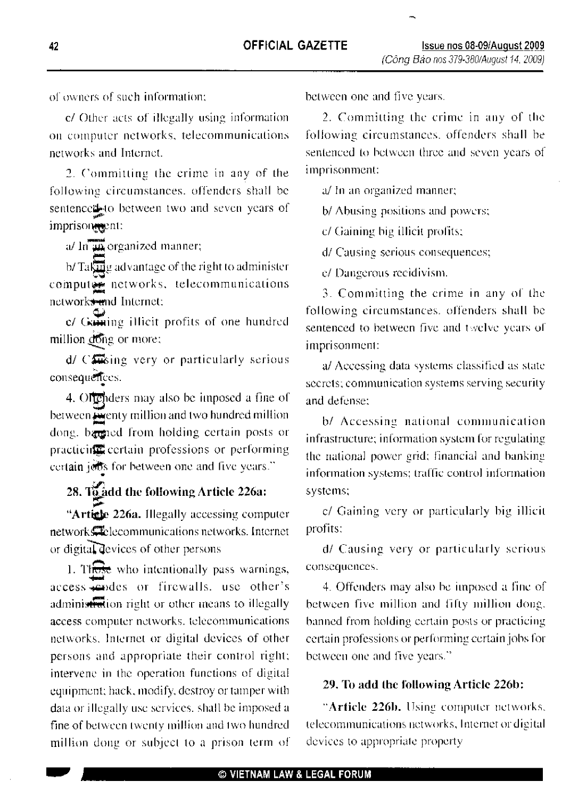of owners of such information:

c/ Other acts of illegally using information on computer networks, telecommunications networks and Internet.

2. Committing the crime in any of the following circumstances, offenders shall be sentenced-to between two and seven years of imprisongent:

a/ In  $\overline{\mathbf{m}}$  organized manner;

 $\frac{1}{2}$  b/Tak $\frac{1}{2}$  advantage of the right to administer computed networks, telecommunications networks end Internet:

c/ Gaming illicit profits of one hundred million dong or more;

 $d / C$   $\mathbb{Z}$  ing very or particularly serious consequences.

4. Of gliders may also be imposed a fine of between **From** million and two hundred million dong, baraned from holding certain posts or practicin certain professions or performing certain jobs for between one and five years."

# 28. To add the following Article 226a:

"Article 226a. Illegally accessing computer networks<sup>32</sup> decommunications networks. Internet or digital devices of other persons

1. Those who intentionally pass warnings, access endes or firewalls, use other's administration right or other means to illegally access computer networks, telecommunications networks. Internet or digital devices of other persons and appropriate their control right; intervene in the operation functions of digital equipment; hack, modify, destroy or tamper with data or illegally use services, shall be imposed a fine of between twenty million and two hundred million dong or subject to a prison term of between one and five years.

2. Committing the crime in any of the following circumstances, offenders shall be sentenced to between three and seven years of imprisonment:

a/ In an organized manner;

b/ Abusing positions and powers;

c/ Gaining big illicit profits;

d/ Causing serious consequences;

e/ Dangerous recidivism.

3. Committing the crime in any of the following circumstances, offenders shall be sentenced to between five and twelve years of imprisonment:

a/ Accessing data systems classified as state secrets; communication systems serving security and defense:

b/ Accessing national communication infrastructure; information system for regulating the national power grid; financial and banking information systems; traffic control information systems;

c/ Gaining very or particularly big illicit profits:

d/ Causing very or particularly serious consequences.

4. Offenders may also be imposed a fine of between five million and fifty million dong. banned from holding certain posts or practicing certain professions or performing certain jobs for between one and five years."

#### 29. To add the following Article 226b:

"Article 226b. Using computer networks, telecommunications networks, Internet or digital devices to appropriate property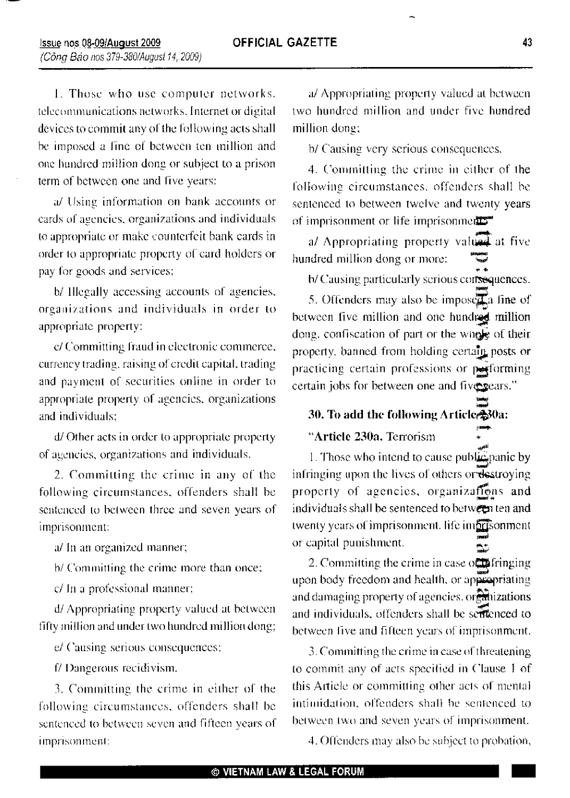1. Those who use computer networks. telecommunications networks. Internet or digital devices to commit any of the following acts shall be imposed a fine of between ten million and one handred million dong or subject to a prison term of between one and five years:

a/ Using information on bank accounts or cards of agencies, organizations and individuals to appropriate or make counterfeit bank cards in order to appropriate property of card holders or pay for goods and services;

b/ Illegally accessing accounts of agencies, organizations and individuals in order to appropriate property:

c/ Committing fraud in electronic commerce, currency trading, raising of credit capital, trading and payment of securities online in order to appropriate property of agencies, organizations and individuals:

d/ Other acts in order to appropriate property of agencies, organizations and individuals.

2. Committing the crime in any of the following circumstances, offenders shall be sentenced to between three and seven years of imprisonment:

a/ In an organized manner;

b/ Committing the crime more than once;

c/ In a professional manner;

d/Appropriating property valued at between fifty million and under two hundred million dong;

e/ Causing serious consequences;

f/ Dangerous recidivism.

3. Committing the crime in either of the following circumstances, offenders shall be sentenced to between seven and fifteen years of imprisonment:

a/ Appropriating property valued at between two hundred million and under five hundred million dong;

b/ Causing very serious consequences.

4. Committing the crime in either of the following circumstances, offenders shall be sentenced to between twelve and twenty years of imprisonment or life imprisonments

a/ Appropriating property valued at five hundred million dong or more:

b/ Causing particularly serious consequences.

5. Offenders may also be impose  $\mathbb{Z}^2$  fine of between five million and one hundred million dong, confiscation of part or the wingle of their property, banned from holding certain posts or practicing certain professions or performing certain jobs for between one and five sears."

30. To add the following Article \$30a:

"Article 230a. Terrorism

1. Those who intend to cause public panic by infringing upon the lives of others or destroying property of agencies, organizations and individuals shall be sentenced to between ten and twenty years of imprisonment. life imprisonment or capital punishment.

2. Committing the crime in case of fringing upon body freedom and health, or appropriating and damaging property of agencies, or anizations and individuals, offenders shall be serienced to between five and fifteen years of imprisonment.

3. Committing the crime in case of threatening to commit any of acts specified in Clause 1 of this Article or committing other acts of mental intimidation, offenders shall be sentenced to between two and seven years of imprisonment.

4. Offenders may also be subject to probation,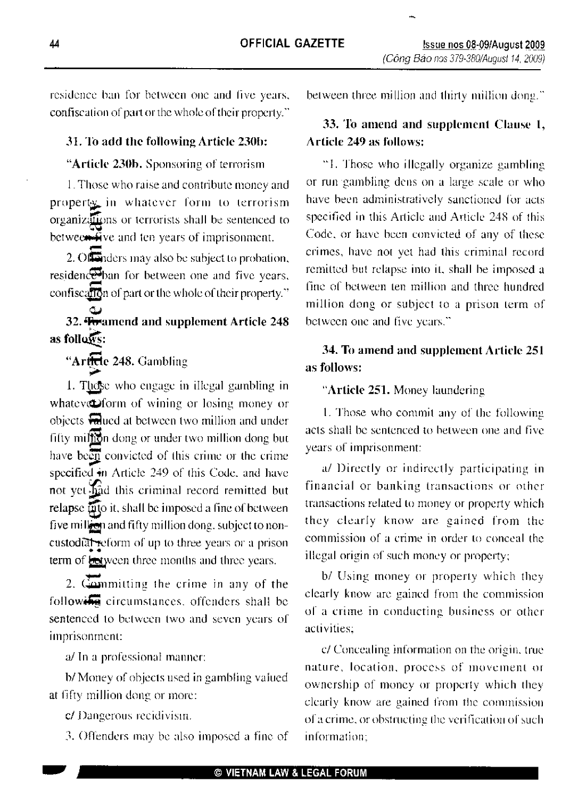residence ban for between one and five years, confiscation of part or the whole of their property."

#### 31. To add the following Article 230b:

#### "Article 230b. Sponsoring of terrorism

1. Those who raise and contribute money and property in whatever form to terrorism organizations or terrorists shall be sentenced to between five and ten years of imprisonment.

2. Of inders may also be subject to probation, residence ban for between one and five years, confiscation of part or the whole of their property."

32. Foramend and supplement Article 248 as follows:

"Article 248. Gambling

1. Those who engage in illegal gambling in whatever form of wining or losing money or objects **valued** at between two million and under fifty million dong or under two million dong but have been convicted of this crime or the crime specified in Article 249 of this Code, and have not yet had this criminal record remitted but relapse mto it, shall be imposed a fine of between five million and fifty million dong, subject to noncustodiat reform of up to three years or a prison term of between three months and three years.

2. Committing the crime in any of the following circumstances, offenders shall be sentenced to between two and seven years of imprisonment:

a/ In a professional manner:

b/ Money of objects used in gambling valued at fifty million dong or more:

c/ Dangerous recidivism.

3. Offenders may be also imposed a fine of

between three million and thirty million dong."

### 33. To amend and supplement Clause 1, Article 249 as follows:

"1. Those who illegally organize gambling or run gambling dens on a large scale or who have been administratively sanctioned for acts specified in this Article and Article 248 of this Code, or have been convicted of any of these crimes, have not yet had this criminal record remitted but relapse into it, shall be imposed a fine of between ten million and three hundred million dong or subject to a prison term of between one and five years."

### 34. To amend and supplement Article 251 as follows:

"Article 251. Money laundering

1. Those who commit any of the following acts shall be sentenced to between one and five years of imprisonment:

a/ Directly or indirectly participating in financial or banking transactions or other transactions related to money or property which they clearly know are gained from the commission of a crime in order to conceal the illegal origin of such money or property;

b/ Using money or property which they clearly know are gained from the commission of a crime in conducting business or other activities:

c/ Concealing information on the origin, true nature, location, process of movement or ownership of money or property which they clearly know are gained from the commission of a crime, or obstructing the verification of such information: